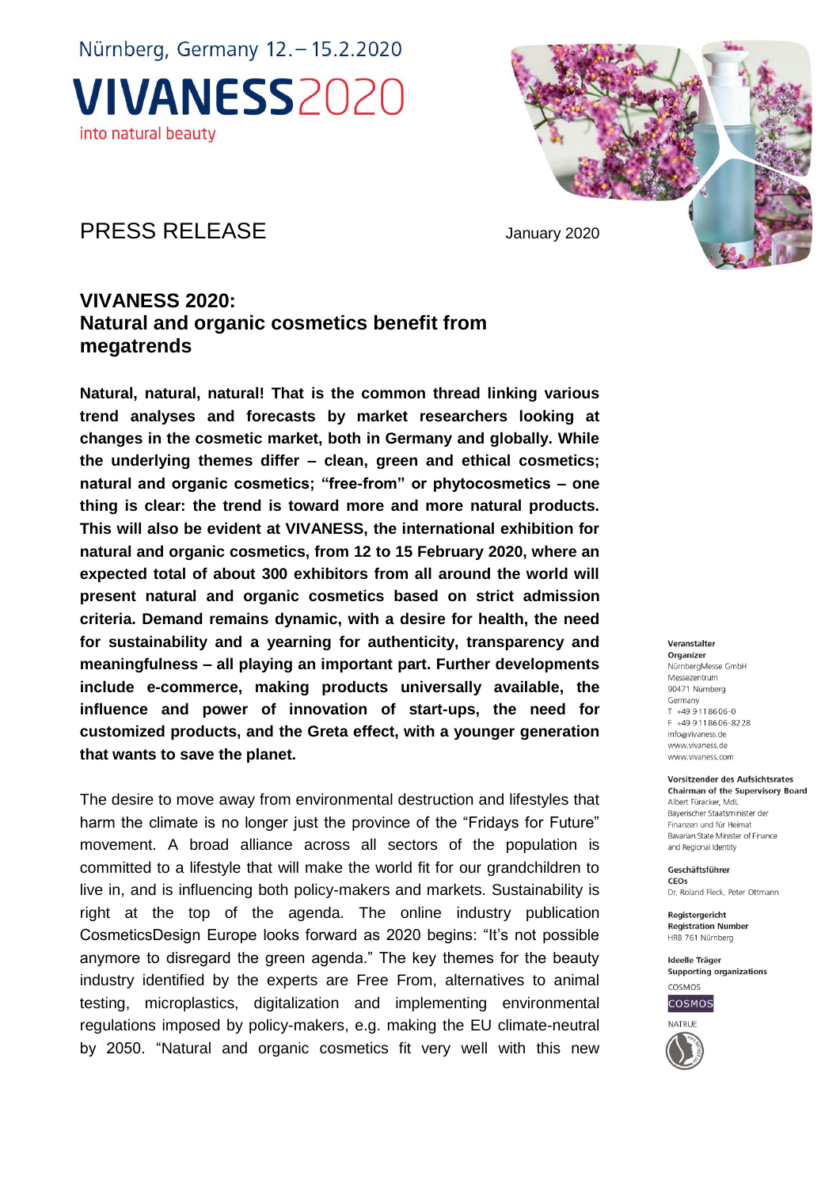### PRESS RELEASE January 2020

### **VIVANESS 2020: Natural and organic cosmetics benefit from megatrends**

**Natural, natural, natural! That is the common thread linking various trend analyses and forecasts by market researchers looking at changes in the cosmetic market, both in Germany and globally. While the underlying themes differ – clean, green and ethical cosmetics; natural and organic cosmetics; "free-from" or phytocosmetics – one thing is clear: the trend is toward more and more natural products. This will also be evident at VIVANESS, the international exhibition for natural and organic cosmetics, from 12 to 15 February 2020, where an expected total of about 300 exhibitors from all around the world will present natural and organic cosmetics based on strict admission criteria. Demand remains dynamic, with a desire for health, the need for sustainability and a yearning for authenticity, transparency and meaningfulness – all playing an important part. Further developments include e-commerce, making products universally available, the influence and power of innovation of start-ups, the need for customized products, and the Greta effect, with a younger generation that wants to save the planet.**

The desire to move away from environmental destruction and lifestyles that harm the climate is no longer just the province of the "Fridays for Future" movement. A broad alliance across all sectors of the population is committed to a lifestyle that will make the world fit for our grandchildren to live in, and is influencing both policy-makers and markets. Sustainability is right at the top of the agenda. The online industry publication CosmeticsDesign Europe looks forward as 2020 begins: "It's not possible anymore to disregard the green agenda." The key themes for the beauty industry identified by the experts are Free From, alternatives to animal testing, microplastics, digitalization and implementing environmental regulations imposed by policy-makers, e.g. making the EU climate-neutral by 2050. "Natural and organic cosmetics fit very well with this new

#### Veranstalter

Organizer NürnberaMesse GmbH Messezentrum 90471 Nürnberg Germany  $T + 499118606 - 0$  $F = \pm AQ$  Q 11 8606-8228 info@vivaness.de www.vivaness.de www.vivaness.com

#### Vorsitzender des Aufsichtsrates

Chairman of the Supervisory Board Albert Füracker MdL Bayerischer Staatsminister der Finanzen und für Heimat Bavarian State Minister of Finance and Regional Identity

Geschäftsführer CEOS Dr. Roland Fleck, Peter Ottmann

Registergericht **Registration Number** HRB 761 Nürnberg

Ideelle Träger Supporting organizations COSMOS



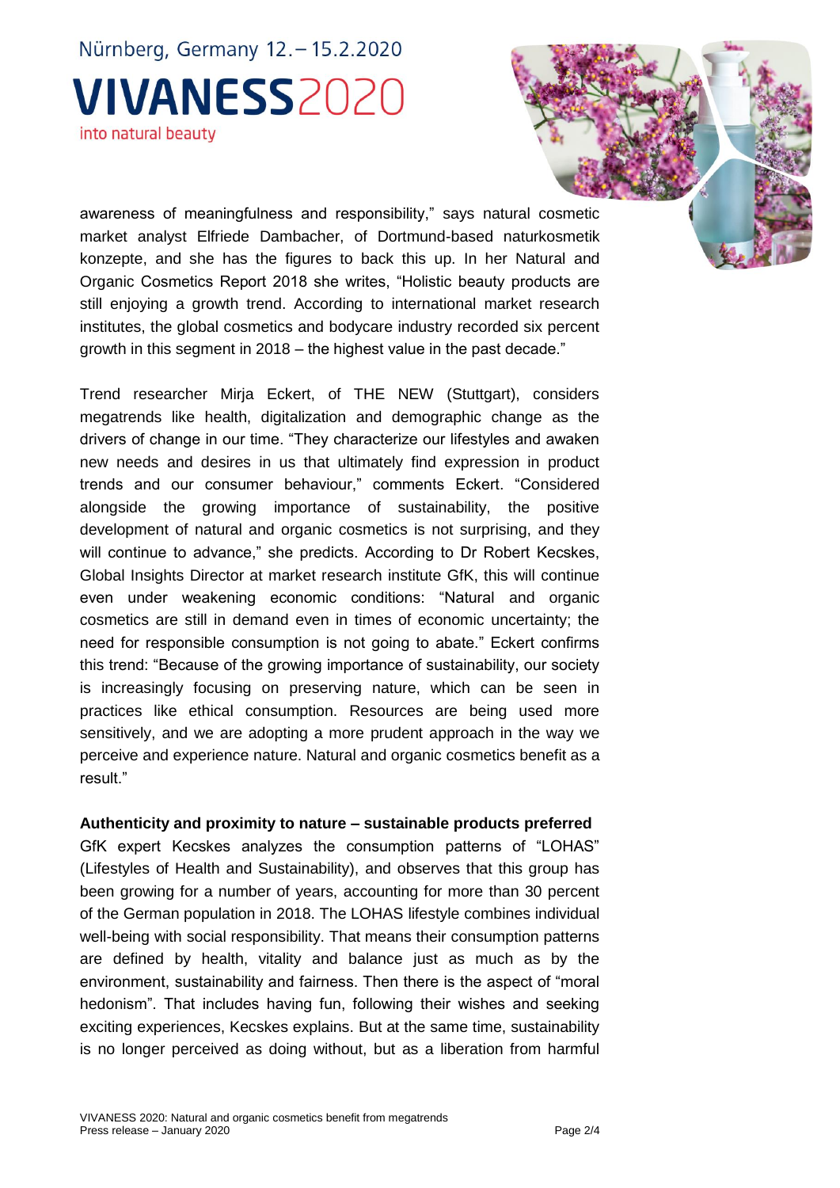awareness of meaningfulness and responsibility," says natural cosmetic market analyst Elfriede Dambacher, of Dortmund-based naturkosmetik konzepte, and she has the figures to back this up. In her Natural and Organic Cosmetics Report 2018 she writes, "Holistic beauty products are still enjoying a growth trend. According to international market research institutes, the global cosmetics and bodycare industry recorded six percent growth in this segment in 2018 – the highest value in the past decade."

Trend researcher Mirja Eckert, of THE NEW (Stuttgart), considers megatrends like health, digitalization and demographic change as the drivers of change in our time. "They characterize our lifestyles and awaken new needs and desires in us that ultimately find expression in product trends and our consumer behaviour," comments Eckert. "Considered alongside the growing importance of sustainability, the positive development of natural and organic cosmetics is not surprising, and they will continue to advance," she predicts. According to Dr Robert Kecskes, Global Insights Director at market research institute GfK, this will continue even under weakening economic conditions: "Natural and organic cosmetics are still in demand even in times of economic uncertainty; the need for responsible consumption is not going to abate." Eckert confirms this trend: "Because of the growing importance of sustainability, our society is increasingly focusing on preserving nature, which can be seen in practices like ethical consumption. Resources are being used more sensitively, and we are adopting a more prudent approach in the way we perceive and experience nature. Natural and organic cosmetics benefit as a result."

#### **Authenticity and proximity to nature – sustainable products preferred**

GfK expert Kecskes analyzes the consumption patterns of "LOHAS" (Lifestyles of Health and Sustainability), and observes that this group has been growing for a number of years, accounting for more than 30 percent of the German population in 2018. The LOHAS lifestyle combines individual well-being with social responsibility. That means their consumption patterns are defined by health, vitality and balance just as much as by the environment, sustainability and fairness. Then there is the aspect of "moral hedonism". That includes having fun, following their wishes and seeking exciting experiences, Kecskes explains. But at the same time, sustainability is no longer perceived as doing without, but as a liberation from harmful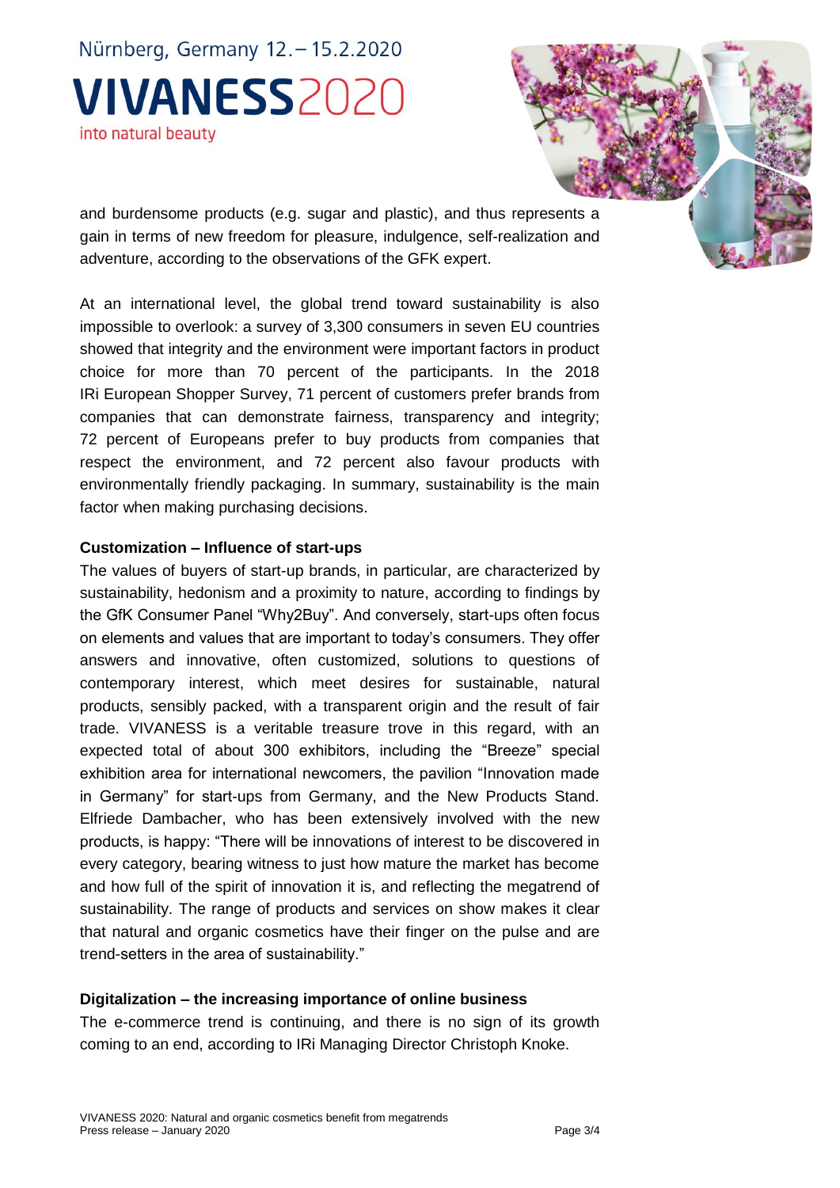and burdensome products (e.g. sugar and plastic), and thus represents a gain in terms of new freedom for pleasure, indulgence, self-realization and adventure, according to the observations of the GFK expert.

At an international level, the global trend toward sustainability is also impossible to overlook: a survey of 3,300 consumers in seven EU countries showed that integrity and the environment were important factors in product choice for more than 70 percent of the participants. In the 2018 IRi European Shopper Survey, 71 percent of customers prefer brands from companies that can demonstrate fairness, transparency and integrity; 72 percent of Europeans prefer to buy products from companies that respect the environment, and 72 percent also favour products with environmentally friendly packaging. In summary, sustainability is the main factor when making purchasing decisions.

#### **Customization – Influence of start-ups**

The values of buyers of start-up brands, in particular, are characterized by sustainability, hedonism and a proximity to nature, according to findings by the GfK Consumer Panel "Why2Buy". And conversely, start-ups often focus on elements and values that are important to today's consumers. They offer answers and innovative, often customized, solutions to questions of contemporary interest, which meet desires for sustainable, natural products, sensibly packed, with a transparent origin and the result of fair trade. VIVANESS is a veritable treasure trove in this regard, with an expected total of about 300 exhibitors, including the "Breeze" special exhibition area for international newcomers, the pavilion "Innovation made in Germany" for start-ups from Germany, and the New Products Stand. Elfriede Dambacher, who has been extensively involved with the new products, is happy: "There will be innovations of interest to be discovered in every category, bearing witness to just how mature the market has become and how full of the spirit of innovation it is, and reflecting the megatrend of sustainability. The range of products and services on show makes it clear that natural and organic cosmetics have their finger on the pulse and are trend-setters in the area of sustainability."

#### **Digitalization – the increasing importance of online business**

The e-commerce trend is continuing, and there is no sign of its growth coming to an end, according to IRi Managing Director Christoph Knoke.